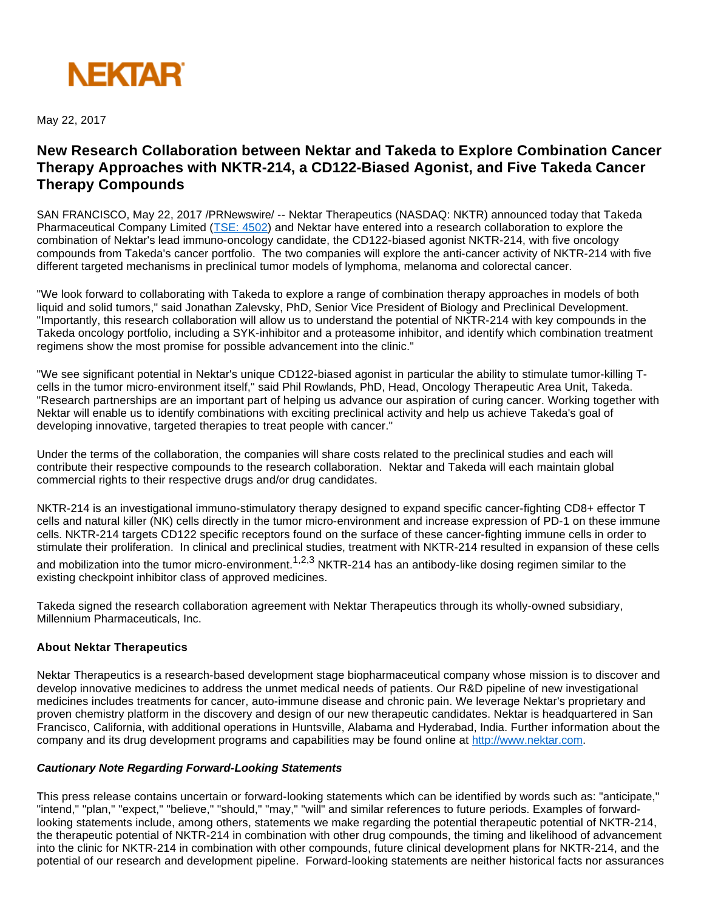

May 22, 2017

## **New Research Collaboration between Nektar and Takeda to Explore Combination Cancer Therapy Approaches with NKTR-214, a CD122-Biased Agonist, and Five Takeda Cancer Therapy Compounds**

SAN FRANCISCO, May 22, 2017 /PRNewswire/ -- Nektar Therapeutics (NASDAQ: NKTR) announced today that Takeda Pharmaceutical Company Limited ([TSE: 4502\)](https://www.takeda.com/investors/) and Nektar have entered into a research collaboration to explore the combination of Nektar's lead immuno-oncology candidate, the CD122-biased agonist NKTR-214, with five oncology compounds from Takeda's cancer portfolio. The two companies will explore the anti-cancer activity of NKTR-214 with five different targeted mechanisms in preclinical tumor models of lymphoma, melanoma and colorectal cancer.

"We look forward to collaborating with Takeda to explore a range of combination therapy approaches in models of both liquid and solid tumors," said Jonathan Zalevsky, PhD, Senior Vice President of Biology and Preclinical Development. "Importantly, this research collaboration will allow us to understand the potential of NKTR-214 with key compounds in the Takeda oncology portfolio, including a SYK-inhibitor and a proteasome inhibitor, and identify which combination treatment regimens show the most promise for possible advancement into the clinic."

"We see significant potential in Nektar's unique CD122-biased agonist in particular the ability to stimulate tumor-killing Tcells in the tumor micro-environment itself," said Phil Rowlands, PhD, Head, Oncology Therapeutic Area Unit, Takeda. "Research partnerships are an important part of helping us advance our aspiration of curing cancer. Working together with Nektar will enable us to identify combinations with exciting preclinical activity and help us achieve Takeda's goal of developing innovative, targeted therapies to treat people with cancer."

Under the terms of the collaboration, the companies will share costs related to the preclinical studies and each will contribute their respective compounds to the research collaboration. Nektar and Takeda will each maintain global commercial rights to their respective drugs and/or drug candidates.

NKTR-214 is an investigational immuno-stimulatory therapy designed to expand specific cancer-fighting CD8+ effector T cells and natural killer (NK) cells directly in the tumor micro-environment and increase expression of PD-1 on these immune cells. NKTR-214 targets CD122 specific receptors found on the surface of these cancer-fighting immune cells in order to stimulate their proliferation. In clinical and preclinical studies, treatment with NKTR-214 resulted in expansion of these cells

and mobilization into the tumor micro-environment.<sup>1,2,3</sup> NKTR-214 has an antibody-like dosing regimen similar to the existing checkpoint inhibitor class of approved medicines.

Takeda signed the research collaboration agreement with Nektar Therapeutics through its wholly-owned subsidiary, Millennium Pharmaceuticals, Inc.

## **About Nektar Therapeutics**

Nektar Therapeutics is a research-based development stage biopharmaceutical company whose mission is to discover and develop innovative medicines to address the unmet medical needs of patients. Our R&D pipeline of new investigational medicines includes treatments for cancer, auto-immune disease and chronic pain. We leverage Nektar's proprietary and proven chemistry platform in the discovery and design of our new therapeutic candidates. Nektar is headquartered in San Francisco, California, with additional operations in Huntsville, Alabama and Hyderabad, India. Further information about the company and its drug development programs and capabilities may be found online at [http://www.nektar.com.](http://www.nektar.com/)

## **Cautionary Note Regarding Forward-Looking Statements**

This press release contains uncertain or forward-looking statements which can be identified by words such as: "anticipate," "intend," "plan," "expect," "believe," "should," "may," "will" and similar references to future periods. Examples of forwardlooking statements include, among others, statements we make regarding the potential therapeutic potential of NKTR-214, the therapeutic potential of NKTR-214 in combination with other drug compounds, the timing and likelihood of advancement into the clinic for NKTR-214 in combination with other compounds, future clinical development plans for NKTR-214, and the potential of our research and development pipeline. Forward-looking statements are neither historical facts nor assurances